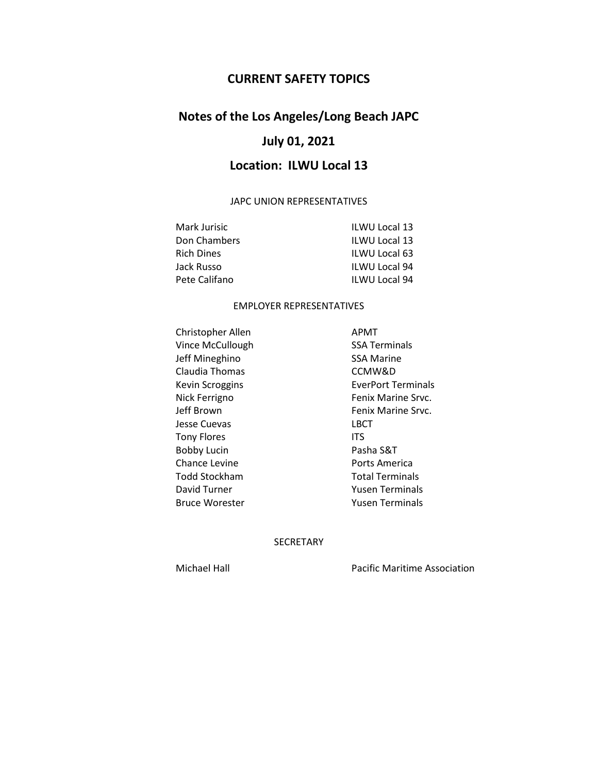# **CURRENT SAFETY TOPICS**

# **Notes of the Los Angeles/Long Beach JAPC**

# **July 01, 2021**

# **Location: ILWU Local 13**

#### JAPC UNION REPRESENTATIVES

| Mark Jurisic  | <b>ILWU Local 13</b> |
|---------------|----------------------|
| Don Chambers  | <b>ILWU Local 13</b> |
| Rich Dines    | ILWU Local 63        |
| Jack Russo    | <b>ILWU Local 94</b> |
| Pete Califano | <b>ILWU Local 94</b> |

### EMPLOYER REPRESENTATIVES

Christopher Allen APMT Vince McCullough SSA Terminals Jeff Mineghino SSA Marine Claudia Thomas CCMW&D Jesse Cuevas LBCT Tony Flores **ITS** Bobby Lucin Pasha S&T Chance Levine **Ports** America Todd Stockham Total Terminals David Turner Terminals Bruce Worester **Yusen Terminals** 

Kevin Scroggins **EverPort Terminals** Nick Ferrigno **Fenix Marine Srvc.** Jeff Brown **Fenix Marine Srvc.** 

## SECRETARY

Michael Hall Pacific Maritime Association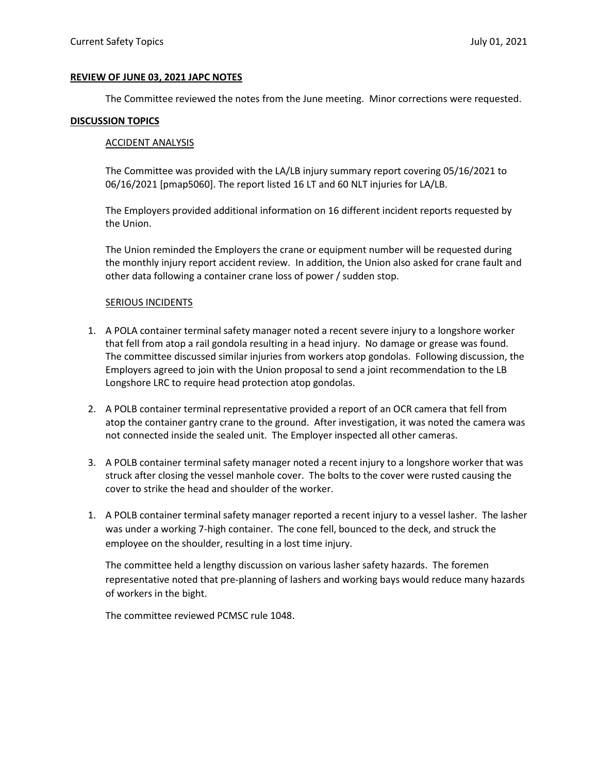#### **REVIEW OF JUNE 03, 2021 JAPC NOTES**

The Committee reviewed the notes from the June meeting. Minor corrections were requested.

#### **DISCUSSION TOPICS**

#### ACCIDENT ANALYSIS

The Committee was provided with the LA/LB injury summary report covering 05/16/2021 to 06/16/2021 [pmap5060]. The report listed 16 LT and 60 NLT injuries for LA/LB.

The Employers provided additional information on 16 different incident reports requested by the Union.

The Union reminded the Employers the crane or equipment number will be requested during the monthly injury report accident review. In addition, the Union also asked for crane fault and other data following a container crane loss of power / sudden stop.

#### SERIOUS INCIDENTS

- 1. A POLA container terminal safety manager noted a recent severe injury to a longshore worker that fell from atop a rail gondola resulting in a head injury. No damage or grease was found. The committee discussed similar injuries from workers atop gondolas. Following discussion, the Employers agreed to join with the Union proposal to send a joint recommendation to the LB Longshore LRC to require head protection atop gondolas.
- 2. A POLB container terminal representative provided a report of an OCR camera that fell from atop the container gantry crane to the ground. After investigation, it was noted the camera was not connected inside the sealed unit. The Employer inspected all other cameras.
- 3. A POLB container terminal safety manager noted a recent injury to a longshore worker that was struck after closing the vessel manhole cover. The bolts to the cover were rusted causing the cover to strike the head and shoulder of the worker.
- 1. A POLB container terminal safety manager reported a recent injury to a vessel lasher. The lasher was under a working 7-high container. The cone fell, bounced to the deck, and struck the employee on the shoulder, resulting in a lost time injury.

The committee held a lengthy discussion on various lasher safety hazards. The foremen representative noted that pre-planning of lashers and working bays would reduce many hazards of workers in the bight.

The committee reviewed PCMSC rule 1048.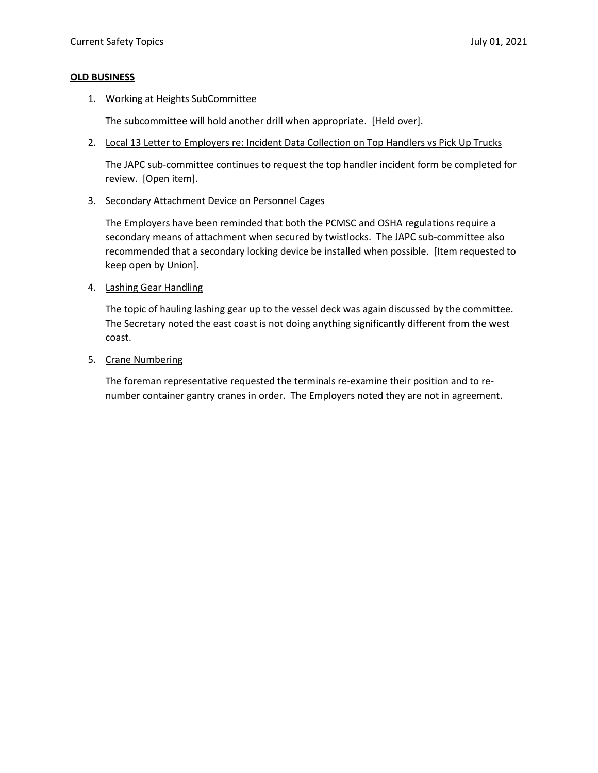## **OLD BUSINESS**

1. Working at Heights SubCommittee

The subcommittee will hold another drill when appropriate. [Held over].

2. Local 13 Letter to Employers re: Incident Data Collection on Top Handlers vs Pick Up Trucks

The JAPC sub-committee continues to request the top handler incident form be completed for review. [Open item].

3. Secondary Attachment Device on Personnel Cages

The Employers have been reminded that both the PCMSC and OSHA regulations require a secondary means of attachment when secured by twistlocks. The JAPC sub-committee also recommended that a secondary locking device be installed when possible. [Item requested to keep open by Union].

4. Lashing Gear Handling

The topic of hauling lashing gear up to the vessel deck was again discussed by the committee. The Secretary noted the east coast is not doing anything significantly different from the west coast.

5. Crane Numbering

The foreman representative requested the terminals re-examine their position and to renumber container gantry cranes in order. The Employers noted they are not in agreement.